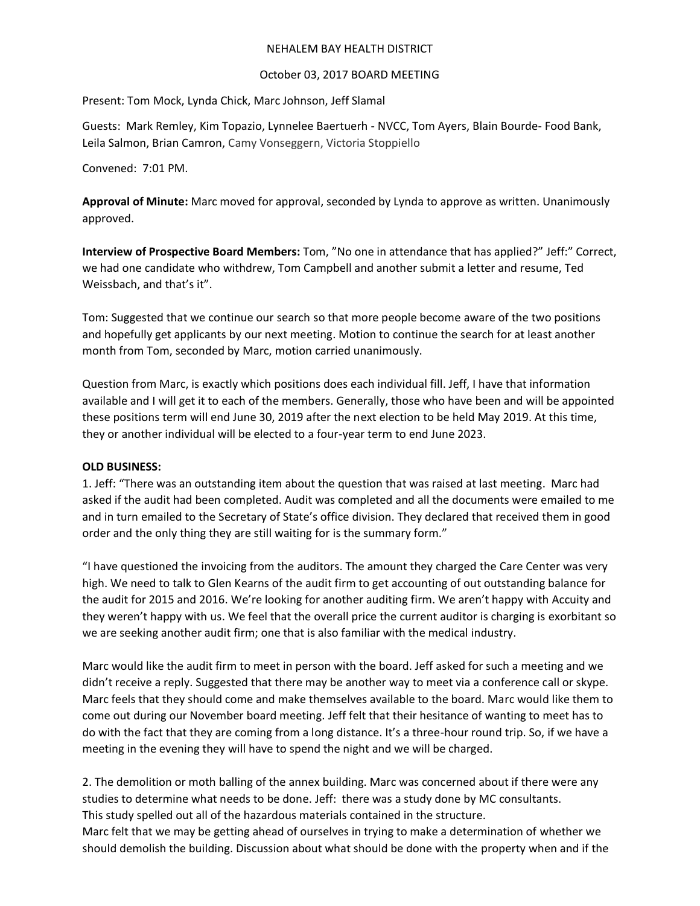#### NEHALEM BAY HEALTH DISTRICT

## October 03, 2017 BOARD MEETING

Present: Tom Mock, Lynda Chick, Marc Johnson, Jeff Slamal

Guests: Mark Remley, Kim Topazio, Lynnelee Baertuerh - NVCC, Tom Ayers, Blain Bourde- Food Bank, Leila Salmon, Brian Camron, Camy Vonseggern, Victoria Stoppiello

Convened: 7:01 PM.

**Approval of Minute:** Marc moved for approval, seconded by Lynda to approve as written. Unanimously approved.

**Interview of Prospective Board Members:** Tom, "No one in attendance that has applied?" Jeff:" Correct, we had one candidate who withdrew, Tom Campbell and another submit a letter and resume, Ted Weissbach, and that's it".

Tom: Suggested that we continue our search so that more people become aware of the two positions and hopefully get applicants by our next meeting. Motion to continue the search for at least another month from Tom, seconded by Marc, motion carried unanimously.

Question from Marc, is exactly which positions does each individual fill. Jeff, I have that information available and I will get it to each of the members. Generally, those who have been and will be appointed these positions term will end June 30, 2019 after the next election to be held May 2019. At this time, they or another individual will be elected to a four-year term to end June 2023.

# **OLD BUSINESS:**

1. Jeff: "There was an outstanding item about the question that was raised at last meeting. Marc had asked if the audit had been completed. Audit was completed and all the documents were emailed to me and in turn emailed to the Secretary of State's office division. They declared that received them in good order and the only thing they are still waiting for is the summary form."

"I have questioned the invoicing from the auditors. The amount they charged the Care Center was very high. We need to talk to Glen Kearns of the audit firm to get accounting of out outstanding balance for the audit for 2015 and 2016. We're looking for another auditing firm. We aren't happy with Accuity and they weren't happy with us. We feel that the overall price the current auditor is charging is exorbitant so we are seeking another audit firm; one that is also familiar with the medical industry.

Marc would like the audit firm to meet in person with the board. Jeff asked for such a meeting and we didn't receive a reply. Suggested that there may be another way to meet via a conference call or skype. Marc feels that they should come and make themselves available to the board. Marc would like them to come out during our November board meeting. Jeff felt that their hesitance of wanting to meet has to do with the fact that they are coming from a long distance. It's a three-hour round trip. So, if we have a meeting in the evening they will have to spend the night and we will be charged.

2. The demolition or moth balling of the annex building. Marc was concerned about if there were any studies to determine what needs to be done. Jeff: there was a study done by MC consultants. This study spelled out all of the hazardous materials contained in the structure. Marc felt that we may be getting ahead of ourselves in trying to make a determination of whether we

should demolish the building. Discussion about what should be done with the property when and if the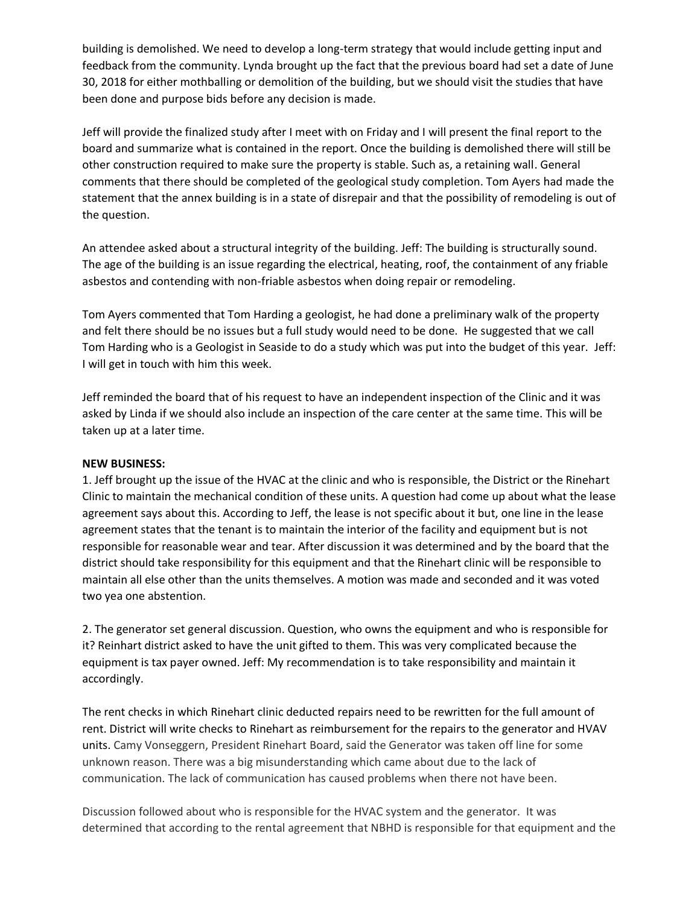building is demolished. We need to develop a long-term strategy that would include getting input and feedback from the community. Lynda brought up the fact that the previous board had set a date of June 30, 2018 for either mothballing or demolition of the building, but we should visit the studies that have been done and purpose bids before any decision is made.

Jeff will provide the finalized study after I meet with on Friday and I will present the final report to the board and summarize what is contained in the report. Once the building is demolished there will still be other construction required to make sure the property is stable. Such as, a retaining wall. General comments that there should be completed of the geological study completion. Tom Ayers had made the statement that the annex building is in a state of disrepair and that the possibility of remodeling is out of the question.

An attendee asked about a structural integrity of the building. Jeff: The building is structurally sound. The age of the building is an issue regarding the electrical, heating, roof, the containment of any friable asbestos and contending with non-friable asbestos when doing repair or remodeling.

Tom Ayers commented that Tom Harding a geologist, he had done a preliminary walk of the property and felt there should be no issues but a full study would need to be done. He suggested that we call Tom Harding who is a Geologist in Seaside to do a study which was put into the budget of this year. Jeff: I will get in touch with him this week.

Jeff reminded the board that of his request to have an independent inspection of the Clinic and it was asked by Linda if we should also include an inspection of the care center at the same time. This will be taken up at a later time.

#### **NEW BUSINESS:**

1. Jeff brought up the issue of the HVAC at the clinic and who is responsible, the District or the Rinehart Clinic to maintain the mechanical condition of these units. A question had come up about what the lease agreement says about this. According to Jeff, the lease is not specific about it but, one line in the lease agreement states that the tenant is to maintain the interior of the facility and equipment but is not responsible for reasonable wear and tear. After discussion it was determined and by the board that the district should take responsibility for this equipment and that the Rinehart clinic will be responsible to maintain all else other than the units themselves. A motion was made and seconded and it was voted two yea one abstention.

2. The generator set general discussion. Question, who owns the equipment and who is responsible for it? Reinhart district asked to have the unit gifted to them. This was very complicated because the equipment is tax payer owned. Jeff: My recommendation is to take responsibility and maintain it accordingly.

The rent checks in which Rinehart clinic deducted repairs need to be rewritten for the full amount of rent. District will write checks to Rinehart as reimbursement for the repairs to the generator and HVAV units. Camy Vonseggern, President Rinehart Board, said the Generator was taken off line for some unknown reason. There was a big misunderstanding which came about due to the lack of communication. The lack of communication has caused problems when there not have been.

Discussion followed about who is responsible for the HVAC system and the generator. It was determined that according to the rental agreement that NBHD is responsible for that equipment and the